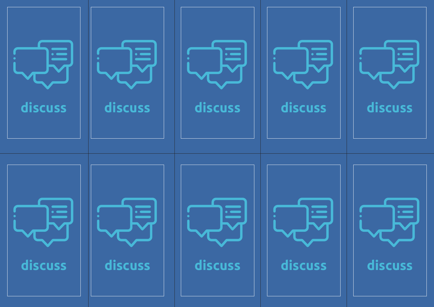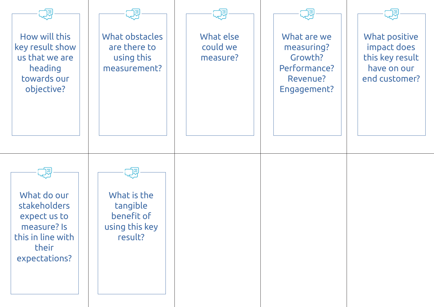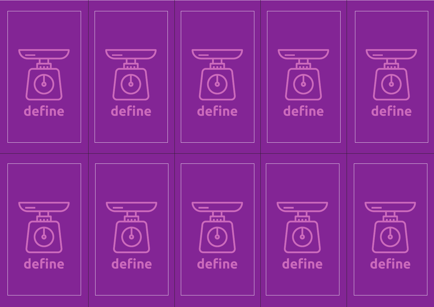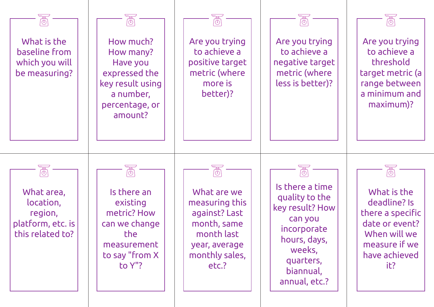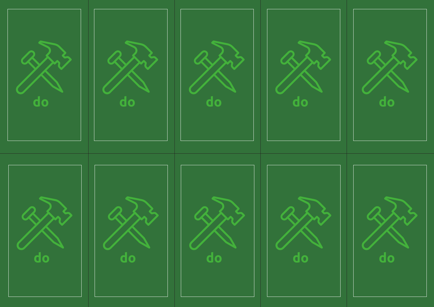